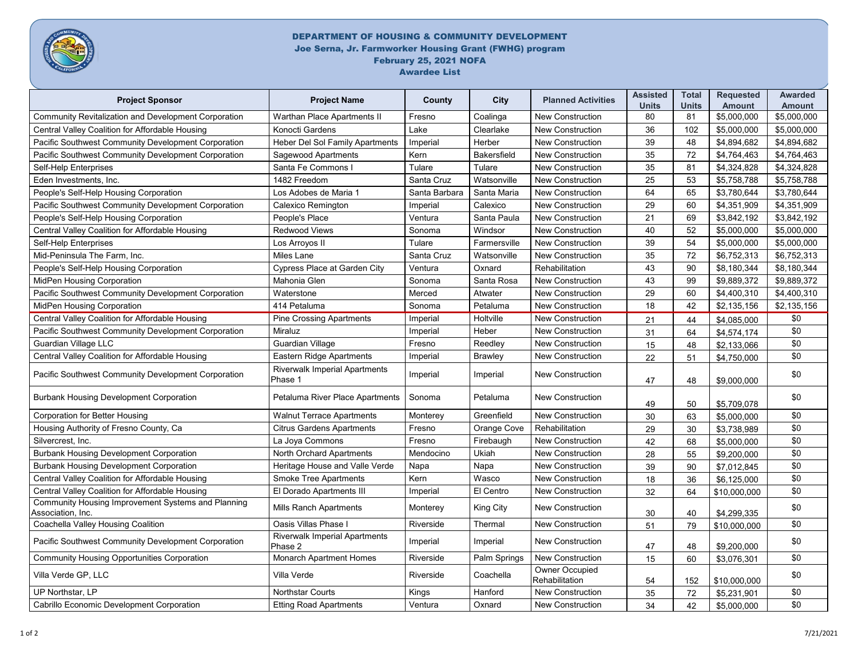

## DEPARTMENT OF HOUSING & COMMUNITY DEVELOPMENT Joe Serna, Jr. Farmworker Housing Grant (FWHG) program February 25, 2021 NOFA Awardee List

| <b>Project Sponsor</b>                                                         | <b>Project Name</b>                             | County        | <b>City</b>        | <b>Planned Activities</b>               | <b>Assisted</b><br><b>Units</b> | <b>Total</b><br><b>Units</b> | <b>Requested</b><br><b>Amount</b> | <b>Awarded</b><br><b>Amount</b> |
|--------------------------------------------------------------------------------|-------------------------------------------------|---------------|--------------------|-----------------------------------------|---------------------------------|------------------------------|-----------------------------------|---------------------------------|
| <b>Community Revitalization and Development Corporation</b>                    | <b>Warthan Place Apartments II</b>              | Fresno        | Coalinga           | <b>New Construction</b>                 | 80                              | 81                           | \$5,000,000                       | \$5,000,000                     |
| <b>Central Valley Coalition for Affordable Housing</b>                         | <b>Konocti Gardens</b>                          | Lake          | Clearlake          | <b>New Construction</b>                 | 36                              | 102                          | \$5,000,000                       | \$5,000,000                     |
| Pacific Southwest Community Development Corporation                            | <b>Heber Del Sol Family Apartments</b>          | Imperial      | Herber             | <b>New Construction</b>                 | 39                              | 48                           | \$4,894,682                       | \$4,894,682                     |
| Pacific Southwest Community Development Corporation                            | Sagewood Apartments                             | Kern          | <b>Bakersfield</b> | <b>New Construction</b>                 | 35                              | 72                           | \$4,764,463                       | \$4,764,463                     |
| <b>Self-Help Enterprises</b>                                                   | Santa Fe Commons I                              | Tulare        | Tulare             | <b>New Construction</b>                 | 35                              | 81                           | \$4,324,828                       | \$4,324,828                     |
| Eden Investments, Inc.                                                         | 1482 Freedom                                    | Santa Cruz    | Watsonville        | <b>New Construction</b>                 | 25                              | 53                           | \$5,758,788                       | \$5,758,788                     |
| People's Self-Help Housing Corporation                                         | Los Adobes de Maria 1                           | Santa Barbara | Santa Maria        | <b>New Construction</b>                 | 64                              | 65                           | \$3,780,644                       | \$3,780,644                     |
| Pacific Southwest Community Development Corporation                            | <b>Calexico Remington</b>                       | Imperial      | Calexico           | <b>New Construction</b>                 | 29                              | 60                           | \$4,351,909                       | \$4,351,909                     |
| People's Self-Help Housing Corporation                                         | People's Place                                  | Ventura       | Santa Paula        | <b>New Construction</b>                 | 21                              | 69                           | \$3,842,192                       | \$3,842,192                     |
| Central Valley Coalition for Affordable Housing                                | <b>Redwood Views</b>                            | Sonoma        | Windsor            | <b>New Construction</b>                 | 40                              | 52                           | \$5,000,000                       | \$5,000,000                     |
| <b>Self-Help Enterprises</b>                                                   | Los Arroyos II                                  | Tulare        | Farmersville       | <b>New Construction</b>                 | 39                              | 54                           | \$5,000,000                       | \$5,000,000                     |
| Mid-Peninsula The Farm, Inc.                                                   | Miles Lane                                      | Santa Cruz    | Watsonville        | <b>New Construction</b>                 | 35                              | 72                           | \$6,752,313                       | \$6,752,313                     |
| People's Self-Help Housing Corporation                                         | <b>Cypress Place at Garden City</b>             | Ventura       | Oxnard             | Rehabilitation                          | 43                              | 90                           | \$8,180,344                       | \$8,180,344                     |
| <b>MidPen Housing Corporation</b>                                              | Mahonia Glen                                    | Sonoma        | Santa Rosa         | <b>New Construction</b>                 | 43                              | 99                           | \$9,889,372                       | \$9,889,372                     |
| Pacific Southwest Community Development Corporation                            | Waterstone                                      | Merced        | Atwater            | <b>New Construction</b>                 | 29                              | 60                           | \$4,400,310                       | \$4,400,310                     |
| <b>MidPen Housing Corporation</b>                                              | 414 Petaluma                                    | Sonoma        | Petaluma           | <b>New Construction</b>                 | 18                              | 42                           | \$2,135,156                       | \$2,135,156                     |
| <b>Central Valley Coalition for Affordable Housing</b>                         | <b>Pine Crossing Apartments</b>                 | Imperial      | Holtville          | <b>New Construction</b>                 | 21                              | 44                           | \$4,085,000                       | \$0                             |
| Pacific Southwest Community Development Corporation                            | Miraluz                                         | Imperial      | Heber              | <b>New Construction</b>                 | 31                              | 64                           | \$4,574,174                       | \$0                             |
| <b>Guardian Village LLC</b>                                                    | <b>Guardian Village</b>                         | Fresno        | Reedley            | <b>New Construction</b>                 | 15                              | 48                           | \$2,133,066                       | \$0                             |
| Central Valley Coalition for Affordable Housing                                | Eastern Ridge Apartments                        | Imperial      | <b>Brawley</b>     | <b>New Construction</b>                 | 22                              | 51                           | \$4,750,000                       | \$0                             |
| Pacific Southwest Community Development Corporation                            | <b>Riverwalk Imperial Apartments</b><br>Phase 1 | Imperial      | Imperial           | <b>New Construction</b>                 | 47                              | 48                           | \$9,000,000                       | \$0                             |
| <b>Burbank Housing Development Corporation</b>                                 | Petaluma River Place Apartments   Sonoma        |               | Petaluma           | <b>New Construction</b>                 | 49                              | 50                           | \$5,709,078                       | \$0                             |
| <b>Corporation for Better Housing</b>                                          | <b>Walnut Terrace Apartments</b>                | Monterey      | Greenfield         | <b>New Construction</b>                 | 30                              | 63                           | \$5,000,000                       | \$0                             |
| Housing Authority of Fresno County, Ca                                         | <b>Citrus Gardens Apartments</b>                | Fresno        | Orange Cove        | Rehabilitation                          | 29                              | 30                           | \$3,738,989                       | \$0                             |
| Silvercrest, Inc.                                                              | La Joya Commons                                 | Fresno        | Firebaugh          | <b>New Construction</b>                 | 42                              | 68                           | \$5,000,000                       | \$0                             |
| <b>Burbank Housing Development Corporation</b>                                 | North Orchard Apartments                        | Mendocino     | <b>Ukiah</b>       | <b>New Construction</b>                 | 28                              | 55                           | \$9,200,000                       | \$0                             |
| <b>Burbank Housing Development Corporation</b>                                 | Heritage House and Valle Verde                  | Napa          | Napa               | <b>New Construction</b>                 | 39                              | 90                           | \$7,012,845                       | \$0                             |
| Central Valley Coalition for Affordable Housing                                | <b>Smoke Tree Apartments</b>                    | Kern          | Wasco              | <b>New Construction</b>                 | 18                              | 36                           | \$6,125,000                       | \$0                             |
| Central Valley Coalition for Affordable Housing                                | El Dorado Apartments III                        | Imperial      | El Centro          | <b>New Construction</b>                 | 32                              | 64                           | \$10,000,000                      | \$0                             |
| <b>Community Housing Improvement Systems and Planning</b><br>Association, Inc. | <b>Mills Ranch Apartments</b>                   | Monterey      | King City          | <b>New Construction</b>                 | 30                              | 40                           | \$4,299,335                       | \$0                             |
| <b>Coachella Valley Housing Coalition</b>                                      | <b>Oasis Villas Phase I</b>                     | Riverside     | Thermal            | <b>New Construction</b>                 | 51                              | 79                           | \$10,000,000                      | \$0                             |
| Pacific Southwest Community Development Corporation                            | <b>Riverwalk Imperial Apartments</b><br>Phase 2 | Imperial      | Imperial           | <b>New Construction</b>                 | 47                              | 48                           | \$9,200,000                       | \$0                             |
| <b>Community Housing Opportunities Corporation</b>                             | <b>Monarch Apartment Homes</b>                  | Riverside     | Palm Springs       | <b>New Construction</b>                 | 15                              | 60                           | \$3,076,301                       | \$0                             |
| Villa Verde GP, LLC                                                            | Villa Verde                                     | Riverside     | Coachella          | <b>Owner Occupied</b><br>Rehabilitation | 54                              | 152                          | \$10,000,000                      | \$0                             |
| <b>UP Northstar, LP</b>                                                        | <b>Northstar Courts</b>                         | <b>Kings</b>  | Hanford            | <b>New Construction</b>                 | 35                              | 72                           | \$5,231,901                       | \$0                             |
| <b>Cabrillo Economic Development Corporation</b>                               | <b>Etting Road Apartments</b>                   | Ventura       | Oxnard             | <b>New Construction</b>                 | 34                              | 42                           | \$5,000,000                       | \$0                             |